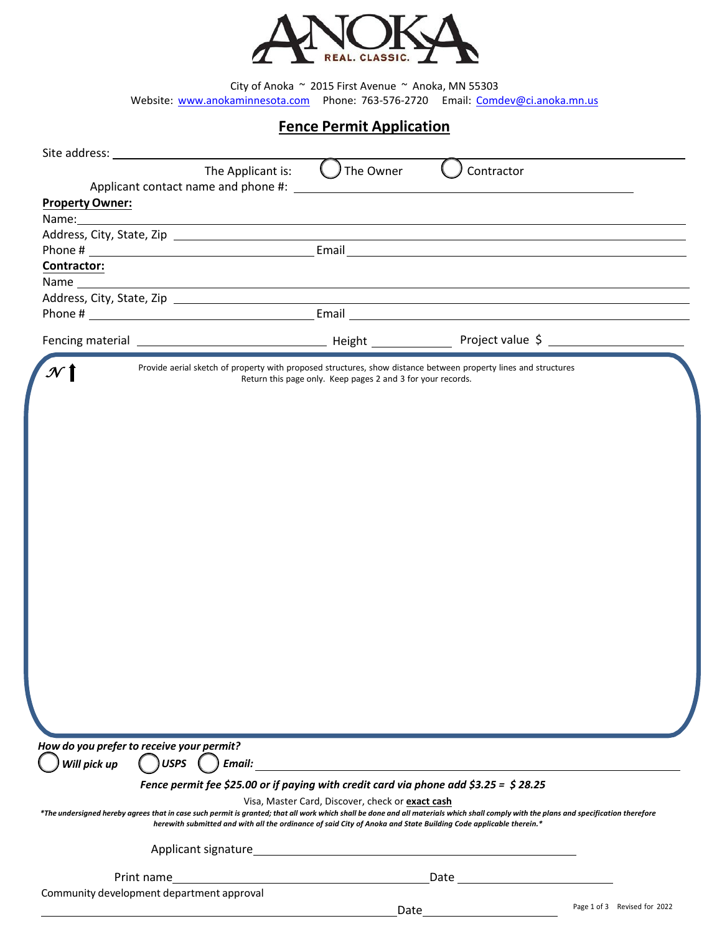

City of Anoka  $\sim$  2015 First Avenue  $\sim$  Anoka, MN 55303 Website: [www.anokaminnesota.com](http://www.anokaminnesota.com/)  Phon[e: 763-576-2720](mailto:Comdev@ci.anoka.mn.us)  Email: Comdev@ci.anoka.mn.us

## **Fence Permit Application**

| Site address: __                             | The Applicant is:<br>The Owner                                                                                                                                                                                                                                                                            | Contractor |                  |
|----------------------------------------------|-----------------------------------------------------------------------------------------------------------------------------------------------------------------------------------------------------------------------------------------------------------------------------------------------------------|------------|------------------|
|                                              |                                                                                                                                                                                                                                                                                                           |            |                  |
| <b>Property Owner:</b>                       |                                                                                                                                                                                                                                                                                                           |            |                  |
|                                              |                                                                                                                                                                                                                                                                                                           |            |                  |
|                                              |                                                                                                                                                                                                                                                                                                           |            |                  |
| Contractor:                                  |                                                                                                                                                                                                                                                                                                           |            |                  |
|                                              |                                                                                                                                                                                                                                                                                                           |            |                  |
|                                              |                                                                                                                                                                                                                                                                                                           |            |                  |
|                                              |                                                                                                                                                                                                                                                                                                           |            |                  |
|                                              |                                                                                                                                                                                                                                                                                                           |            | Project value \$ |
|                                              | Provide aerial sketch of property with proposed structures, show distance between property lines and structures<br>Return this page only. Keep pages 2 and 3 for your records.                                                                                                                            |            |                  |
|                                              |                                                                                                                                                                                                                                                                                                           |            |                  |
|                                              |                                                                                                                                                                                                                                                                                                           |            |                  |
|                                              |                                                                                                                                                                                                                                                                                                           |            |                  |
|                                              |                                                                                                                                                                                                                                                                                                           |            |                  |
|                                              |                                                                                                                                                                                                                                                                                                           |            |                  |
|                                              |                                                                                                                                                                                                                                                                                                           |            |                  |
|                                              |                                                                                                                                                                                                                                                                                                           |            |                  |
|                                              |                                                                                                                                                                                                                                                                                                           |            |                  |
|                                              |                                                                                                                                                                                                                                                                                                           |            |                  |
|                                              |                                                                                                                                                                                                                                                                                                           |            |                  |
|                                              |                                                                                                                                                                                                                                                                                                           |            |                  |
|                                              |                                                                                                                                                                                                                                                                                                           |            |                  |
|                                              |                                                                                                                                                                                                                                                                                                           |            |                  |
|                                              |                                                                                                                                                                                                                                                                                                           |            |                  |
|                                              |                                                                                                                                                                                                                                                                                                           |            |                  |
|                                              |                                                                                                                                                                                                                                                                                                           |            |                  |
|                                              |                                                                                                                                                                                                                                                                                                           |            |                  |
|                                              |                                                                                                                                                                                                                                                                                                           |            |                  |
| How do you prefer to receive your permit?    |                                                                                                                                                                                                                                                                                                           |            |                  |
| Will pick up $\bigcap$ USPS $\bigcap$ Email: |                                                                                                                                                                                                                                                                                                           |            |                  |
|                                              | Fence permit fee \$25.00 or if paying with credit card via phone add \$3.25 = \$28.25                                                                                                                                                                                                                     |            |                  |
|                                              | Visa, Master Card, Discover, check or exact cash                                                                                                                                                                                                                                                          |            |                  |
|                                              | *The undersigned hereby agrees that in case such permit is granted; that all work which shall be done and all materials which shall comply with the plans and specification therefore<br>herewith submitted and with all the ordinance of said City of Anoka and State Building Code applicable therein.* |            |                  |
|                                              |                                                                                                                                                                                                                                                                                                           |            |                  |
|                                              |                                                                                                                                                                                                                                                                                                           |            |                  |
|                                              |                                                                                                                                                                                                                                                                                                           |            |                  |
| Community development department approval    |                                                                                                                                                                                                                                                                                                           |            |                  |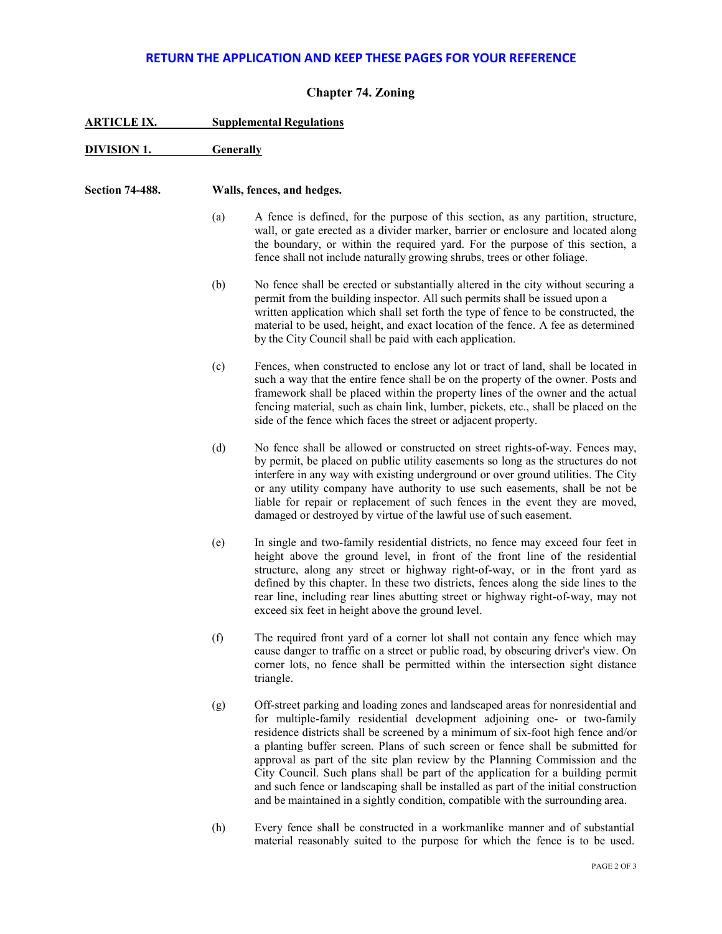## **RETURN THE APPLICATION AND KEEP THESE PAGES FOR YOUR REFERENCE**

## **Chapter 74. Zoning**

| <b>ARTICLE IX.</b>     | <b>Supplemental Regulations</b> |                                                                                                                                                                                                                                                                                                                                                                                                                                                                                                                                                                                                                                                                                 |  |  |  |
|------------------------|---------------------------------|---------------------------------------------------------------------------------------------------------------------------------------------------------------------------------------------------------------------------------------------------------------------------------------------------------------------------------------------------------------------------------------------------------------------------------------------------------------------------------------------------------------------------------------------------------------------------------------------------------------------------------------------------------------------------------|--|--|--|
| <b>DIVISION 1.</b>     |                                 | <b>Generally</b>                                                                                                                                                                                                                                                                                                                                                                                                                                                                                                                                                                                                                                                                |  |  |  |
| <b>Section 74-488.</b> | Walls, fences, and hedges.      |                                                                                                                                                                                                                                                                                                                                                                                                                                                                                                                                                                                                                                                                                 |  |  |  |
|                        | (a)                             | A fence is defined, for the purpose of this section, as any partition, structure,<br>wall, or gate erected as a divider marker, barrier or enclosure and located along<br>the boundary, or within the required yard. For the purpose of this section, a<br>fence shall not include naturally growing shrubs, trees or other foliage.                                                                                                                                                                                                                                                                                                                                            |  |  |  |
|                        | (b)                             | No fence shall be erected or substantially altered in the city without securing a<br>permit from the building inspector. All such permits shall be issued upon a<br>written application which shall set forth the type of fence to be constructed, the<br>material to be used, height, and exact location of the fence. A fee as determined<br>by the City Council shall be paid with each application.                                                                                                                                                                                                                                                                         |  |  |  |
|                        | (c)                             | Fences, when constructed to enclose any lot or tract of land, shall be located in<br>such a way that the entire fence shall be on the property of the owner. Posts and<br>framework shall be placed within the property lines of the owner and the actual<br>fencing material, such as chain link, lumber, pickets, etc., shall be placed on the<br>side of the fence which faces the street or adjacent property.                                                                                                                                                                                                                                                              |  |  |  |
|                        | (d)                             | No fence shall be allowed or constructed on street rights-of-way. Fences may,<br>by permit, be placed on public utility easements so long as the structures do not<br>interfere in any way with existing underground or over ground utilities. The City<br>or any utility company have authority to use such easements, shall be not be<br>liable for repair or replacement of such fences in the event they are moved,<br>damaged or destroyed by virtue of the lawful use of such easement.                                                                                                                                                                                   |  |  |  |
|                        | (e)                             | In single and two-family residential districts, no fence may exceed four feet in<br>height above the ground level, in front of the front line of the residential<br>structure, along any street or highway right-of-way, or in the front yard as<br>defined by this chapter. In these two districts, fences along the side lines to the<br>rear line, including rear lines abutting street or highway right-of-way, may not<br>exceed six feet in height above the ground level.                                                                                                                                                                                                |  |  |  |
|                        | (f)                             | The required front yard of a corner lot shall not contain any fence which may<br>cause danger to traffic on a street or public road, by obscuring driver's view. On<br>corner lots, no fence shall be permitted within the intersection sight distance<br>triangle.                                                                                                                                                                                                                                                                                                                                                                                                             |  |  |  |
|                        | (g)                             | Off-street parking and loading zones and landscaped areas for nonresidential and<br>for multiple-family residential development adjoining one- or two-family<br>residence districts shall be screened by a minimum of six-foot high fence and/or<br>a planting buffer screen. Plans of such screen or fence shall be submitted for<br>approval as part of the site plan review by the Planning Commission and the<br>City Council. Such plans shall be part of the application for a building permit<br>and such fence or landscaping shall be installed as part of the initial construction<br>and be maintained in a sightly condition, compatible with the surrounding area. |  |  |  |
|                        | (h)                             | Every fence shall be constructed in a workmanlike manner and of substantial                                                                                                                                                                                                                                                                                                                                                                                                                                                                                                                                                                                                     |  |  |  |

material reasonably suited to the purpose for which the fence is to be used.